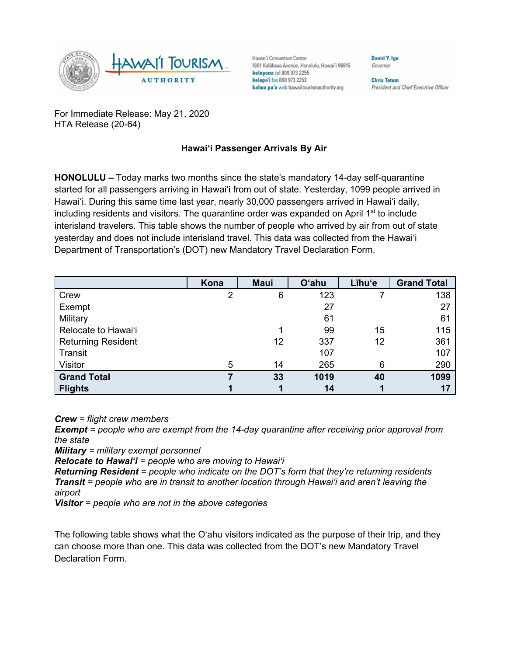

Hawai'i Convention Center 1801 Kalākaua Avenue, Honolulu, Hawai'i 96815 kelepona tel 808 973 2255 kelepa'i fax 808 973 2253 kahua pa'a web hawaiitourismauthority.org

**Chris Tatum** President and Chief Executive Officer

**David V Ine** 

Governor

For Immediate Release: May 21, 2020 HTA Release (20-64)

## **Hawai'i Passenger Arrivals By Air**

**HONOLULU –** Today marks two months since the state's mandatory 14-day self-quarantine started for all passengers arriving in Hawai'i from out of state. Yesterday, 1099 people arrived in Hawai'i. During this same time last year, nearly 30,000 passengers arrived in Hawai'i daily, including residents and visitors. The quarantine order was expanded on April 1<sup>st</sup> to include interisland travelers. This table shows the number of people who arrived by air from out of state yesterday and does not include interisland travel. This data was collected from the Hawai'i Department of Transportation's (DOT) new Mandatory Travel Declaration Form.

|                           | Kona           | <b>Maui</b> | <b>O'ahu</b> | Līhu'e | <b>Grand Total</b> |
|---------------------------|----------------|-------------|--------------|--------|--------------------|
| Crew                      | $\overline{2}$ | 6           | 123          |        | 138                |
| Exempt                    |                |             | 27           |        | 27                 |
| Military                  |                |             | 61           |        | 61                 |
| Relocate to Hawai'i       |                |             | 99           | 15     | 115                |
| <b>Returning Resident</b> |                | 12          | 337          | 12     | 361                |
| Transit                   |                |             | 107          |        | 107                |
| Visitor                   | 5              | 14          | 265          | 6      | 290                |
| <b>Grand Total</b>        |                | 33          | 1019         | 40     | 1099               |
| <b>Flights</b>            |                |             | 14           |        | 17                 |

*Crew = flight crew members*

*Exempt = people who are exempt from the 14-day quarantine after receiving prior approval from the state*

*Military = military exempt personnel*

*Relocate to Hawai'i = people who are moving to Hawai'i*

*Returning Resident = people who indicate on the DOT's form that they're returning residents Transit = people who are in transit to another location through Hawai'i and aren't leaving the airport*

*Visitor = people who are not in the above categories*

The following table shows what the O'ahu visitors indicated as the purpose of their trip, and they can choose more than one. This data was collected from the DOT's new Mandatory Travel Declaration Form.